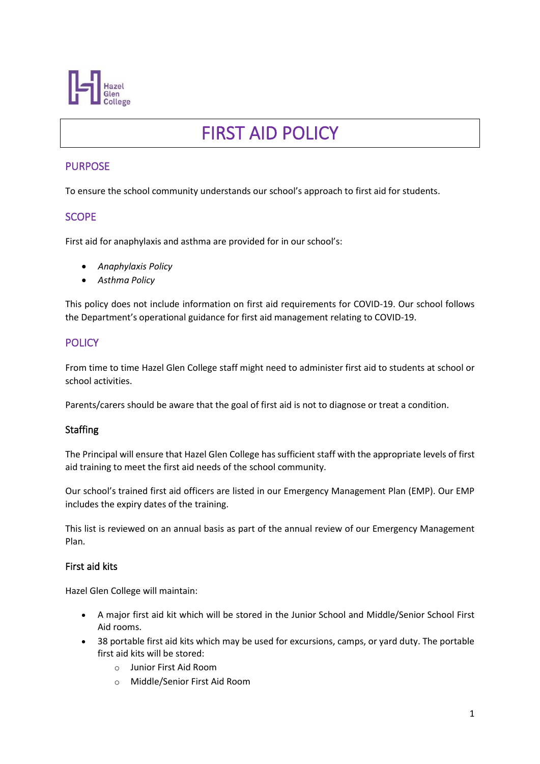

# FIRST AID POLICY

# PURPOSE

To ensure the school community understands our school's approach to first aid for students.

### **SCOPE**

First aid for anaphylaxis and asthma are provided for in our school's:

- *Anaphylaxis Policy*
- *Asthma Policy*

This policy does not include information on first aid requirements for COVID-19. Our school follows the Department's operational guidance for first aid management relating to COVID-19.

#### **POLICY**

From time to time Hazel Glen College staff might need to administer first aid to students at school or school activities.

Parents/carers should be aware that the goal of first aid is not to diagnose or treat a condition.

#### **Staffing**

The Principal will ensure that Hazel Glen College has sufficient staff with the appropriate levels of first aid training to meet the first aid needs of the school community.

Our school's trained first aid officers are listed in our Emergency Management Plan (EMP). Our EMP includes the expiry dates of the training.

This list is reviewed on an annual basis as part of the annual review of our Emergency Management Plan.

#### First aid kits

Hazel Glen College will maintain:

- A major first aid kit which will be stored in the Junior School and Middle/Senior School First Aid rooms.
- 38 portable first aid kits which may be used for excursions, camps, or yard duty. The portable first aid kits will be stored:
	- o Junior First Aid Room
	- o Middle/Senior First Aid Room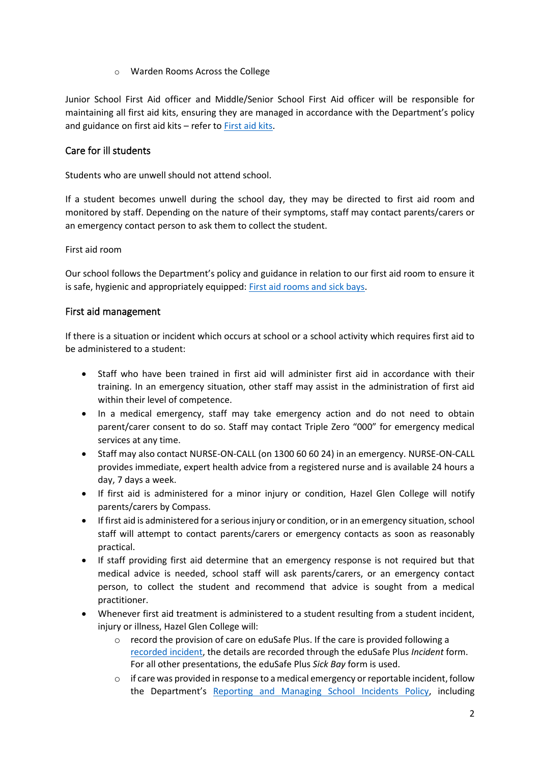o Warden Rooms Across the College

Junior School First Aid officer and Middle/Senior School First Aid officer will be responsible for maintaining all first aid kits, ensuring they are managed in accordance with the Department's policy and guidance on first aid kits – refer to [First aid kits.](https://www2.education.vic.gov.au/pal/first-aid-students-and-staff/guidance/first-aid-kits)

### Care for ill students

Students who are unwell should not attend school.

If a student becomes unwell during the school day, they may be directed to first aid room and monitored by staff. Depending on the nature of their symptoms, staff may contact parents/carers or an emergency contact person to ask them to collect the student.

First aid room

Our school follows the Department's policy and guidance in relation to our first aid room to ensure it is safe, hygienic and appropriately equipped[: First aid rooms and sick bays.](https://www2.education.vic.gov.au/pal/first-aid-students-and-staff/guidance/first-aid-rooms-and-sick-bays)

#### First aid management

If there is a situation or incident which occurs at school or a school activity which requires first aid to be administered to a student:

- Staff who have been trained in first aid will administer first aid in accordance with their training. In an emergency situation, other staff may assist in the administration of first aid within their level of competence.
- In a medical emergency, staff may take emergency action and do not need to obtain parent/carer consent to do so. Staff may contact Triple Zero "000" for emergency medical services at any time.
- Staff may also contact NURSE-ON-CALL (on 1300 60 60 24) in an emergency. NURSE-ON-CALL provides immediate, expert health advice from a registered nurse and is available 24 hours a day, 7 days a week.
- If first aid is administered for a minor injury or condition, Hazel Glen College will notify parents/carers by Compass.
- If first aid is administered for a serious injury or condition, or in an emergency situation, school staff will attempt to contact parents/carers or emergency contacts as soon as reasonably practical.
- If staff providing first aid determine that an emergency response is not required but that medical advice is needed, school staff will ask parents/carers, or an emergency contact person, to collect the student and recommend that advice is sought from a medical practitioner.
- Whenever first aid treatment is administered to a student resulting from a student incident, injury or illness, Hazel Glen College will:
	- o record the provision of care on eduSafe Plus. If the care is provided following a [recorded incident,](https://www2.education.vic.gov.au/pal/reporting-and-managing-school-incidents-including-emergencies/policy) the details are recorded through the eduSafe Plus *Incident* form. For all other presentations, the eduSafe Plus *Sick Bay* form is used.
	- $\circ$  if care was provided in response to a medical emergency or reportable incident, follow the Department's [Reporting and Managing School Incidents Policy,](https://www2.education.vic.gov.au/pal/reporting-and-managing-school-incidents-including-emergencies/policy) including